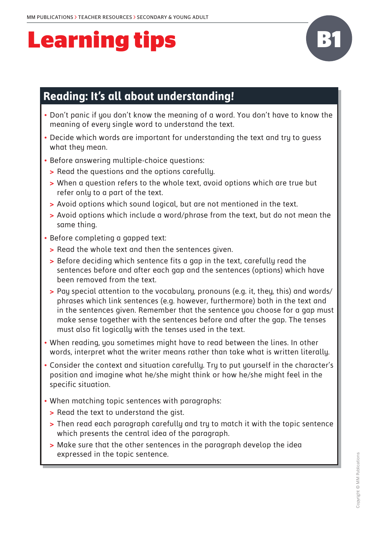# **Learning tips**



### **Reading: It's all about understanding!**

- Don't panic if you don't know the meaning of a word. You don't have to know the meaning of every single word to understand the text.
- Decide which words are important for understanding the text and try to quess what they mean.
- Before answering multiple-choice questions:
	- **>** Read the questions and the options carefully.
	- **>** When a question refers to the whole text, avoid options which are true but refer only to a part of the text.
	- **>** Avoid options which sound logical, but are not mentioned in the text.
	- **>** Avoid options which include a word/phrase from the text, but do not mean the same thing.
- Before completing a gapped text:
	- **>** Read the whole text and then the sentences given.
	- **>** Before deciding which sentence fits a gap in the text, carefully read the sentences before and after each gap and the sentences (options) which have been removed from the text.
	- **>** Pay special attention to the vocabulary, pronouns (e.g. it, they, this) and words/ phrases which link sentences (e.g. however, furthermore) both in the text and in the sentences given. Remember that the sentence you choose for a gap must make sense together with the sentences before and after the gap. The tenses must also fit logically with the tenses used in the text.
- When reading, you sometimes might have to read between the lines. In other words, interpret what the writer means rather than take what is written literally.
- Consider the context and situation carefully. Try to put yourself in the character's position and imagine what he/she might think or how he/she might feel in the specific situation.
- When matching topic sentences with paragraphs:
	- **>** Read the text to understand the gist.
	- **>** Then read each paragraph carefully and try to match it with the topic sentence which presents the central idea of the paragraph.
	- **>** Make sure that the other sentences in the paragraph develop the idea expressed in the topic sentence.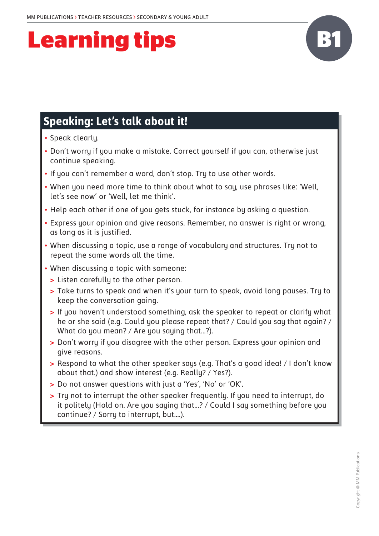# **Learning tips B1**



- • Speak clearly.
- Don't worru if you make a mistake. Correct yourself if you can, otherwise just continue speaking.
- If you can't remember a word, don't stop. Try to use other words.
- When you need more time to think about what to say, use phrases like: 'Well, let's see now' or 'Well, let me think'.
- Help each other if one of you gets stuck, for instance by asking a question.
- Express your opinion and give reasons. Remember, no answer is right or wrong, as long as it is justified.
- • When discussing a topic, use a range of vocabulary and structures. Try not to repeat the same words all the time.
- When discussing a topic with someone:
	- **>** Listen carefully to the other person.
	- **>** Take turns to speak and when it's your turn to speak, avoid long pauses. Try to keep the conversation going.
	- **>** If you haven't understood something, ask the speaker to repeat or clarify what he or she said (e.g. Could you please repeat that? / Could you say that again? / What do you mean? / Are you saying that...?).
	- **>** Don't worry if you disagree with the other person. Express your opinion and give reasons.
	- **>** Respond to what the other speaker says (e.g. That's a good idea! / I don't know about that.) and show interest (e.g. Really? / Yes?).
	- **>** Do not answer questions with just a 'Yes', 'No' or 'OK'.
	- **>** Try not to interrupt the other speaker frequently. If you need to interrupt, do it politely (Hold on. Are you saying that…? / Could I say something before you continue? / Sorry to interrupt, but….).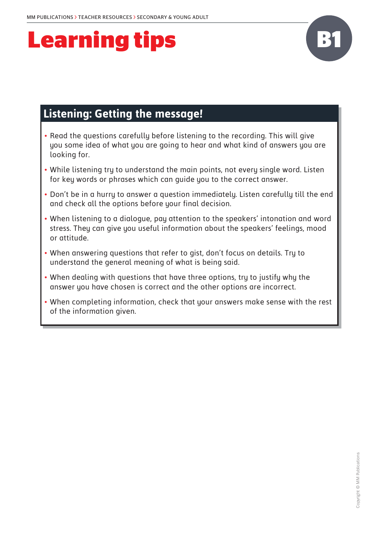## **Learning tips**



### **Listening: Getting the message!**

- Read the questions carefully before listening to the recording. This will give you some idea of what you are going to hear and what kind of answers you are looking for.
- While listening try to understand the main points, not every single word. Listen for key words or phrases which can guide you to the correct answer.
- Don't be in a hurry to answer a question immediately. Listen carefully till the end and check all the options before your final decision.
- • When listening to a dialogue, pay attention to the speakers' intonation and word stress. They can give you useful information about the speakers' feelings, mood or attitude.
- • When answering questions that refer to gist, don't focus on details. Try to understand the general meaning of what is being said.
- • When dealing with questions that have three options, try to justify why the answer you have chosen is correct and the other options are incorrect.
- • When completing information, check that your answers make sense with the rest of the information given.